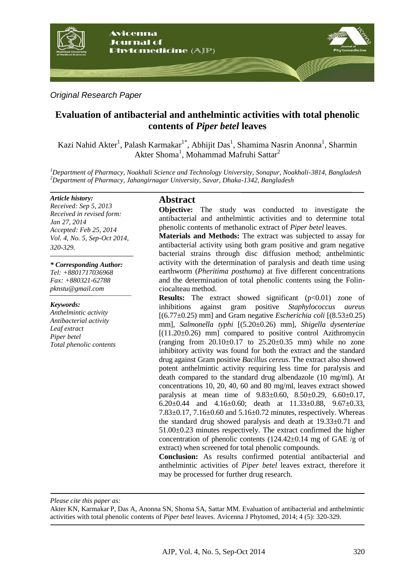

# *Original Research Paper*

# **Evaluation of antibacterial and anthelmintic activities with total phenolic contents of** *Piper betel* **leaves**

Kazi Nahid Akter<sup>1</sup>, Palash Karmakar<sup>1\*</sup>, Abhijit Das<sup>1</sup>, Shamima Nasrin Anonna<sup>1</sup>, Sharmin Akter Shoma<sup>1</sup>, Mohammad Mafruhi Sattar<sup>2</sup>

*<sup>1</sup>Department of Pharmacy, Noakhali Science and Technology University, Sonapur, Noakhali-3814, Bangladesh <sup>2</sup>Department of Pharmacy, Jahangirnagar University, Savar, Dhaka-1342, Bangladesh*

#### *Article history:*

*Received: Sep 5, 2013 Received in revised form: Jan 27, 2014 Accepted: Feb 25, 2014 Vol. 4, No. 5, Sep-Oct 2014, 320-329.*

*\* Corresponding Author: Tel: +8801717036968 Fax: +880321-62788 pknstu@gmail.com*

#### *Keywords:*

*Anthelmintic activity Antibacterial activity Leaf extract Piper betel Total phenolic contents*

### **Abstract**

**Objective:** The study was conducted to investigate the antibacterial and anthelmintic activities and to determine total phenolic contents of methanolic extract of *Piper betel* leaves.

**Materials and Methods:** The extract was subjected to assay for antibacterial activity using both gram positive and gram negative bacterial strains through disc diffusion method; anthelmintic activity with the determination of paralysis and death time using earthworm (*Pheritima posthuma*) at five different concentrations and the determination of total phenolic contents using the Folinciocalteau method.

**Results:** The extract showed significant (p<0.01) zone of inhibitions against gram positive *Staphylococcus aureus* [(6.77±0.25) mm] and Gram negative *Escherichia coli* [(8.53±0.25) mm], *Salmonella typhi* [(5.20±0.26) mm], *Shigella dysenteriae*  $[(11.20 \pm 0.26)$  mm compared to positive control Azithromycin (ranging from  $20.10\pm0.17$  to  $25.20\pm0.35$  mm) while no zone inhibitory activity was found for both the extract and the standard drug against Gram positive *Bacillus cereus*. The extract also showed potent anthelmintic activity requiring less time for paralysis and death compared to the standard drug albendazole (10 mg/ml). At concentrations 10, 20, 40, 60 and 80 mg/ml, leaves extract showed paralysis at mean time of 9.83±0.60, 8.50±0.29, 6.60±0.17, 6.20 $\pm$ 0.44 and 4.16 $\pm$ 0.60; death at 11.33 $\pm$ 0.88, 9.67 $\pm$ 0.33, 7.83±0.17, 7.16±0.60 and 5.16±0.72 minutes, respectively. Whereas the standard drug showed paralysis and death at 19.33±0.71 and 51.00±0.23 minutes respectively. The extract confirmed the higher concentration of phenolic contents  $(124.42\pm0.14 \text{ mg of } GAE/g \text{ of }$ extract) when screened for total phenolic compounds.

**Conclusion:** As results confirmed potential antibacterial and anthelmintic activities of *Piper betel* leaves extract, therefore it may be processed for further drug research.

*Please cite this paper as:* 

Akter KN, Karmakar P, Das A, Anonna SN, Shoma SA, Sattar MM. Evaluation of antibacterial and anthelmintic activities with total phenolic contents of *Piper betel* leaves. Avicenna J Phytomed, 2014; 4 (5): 320-329.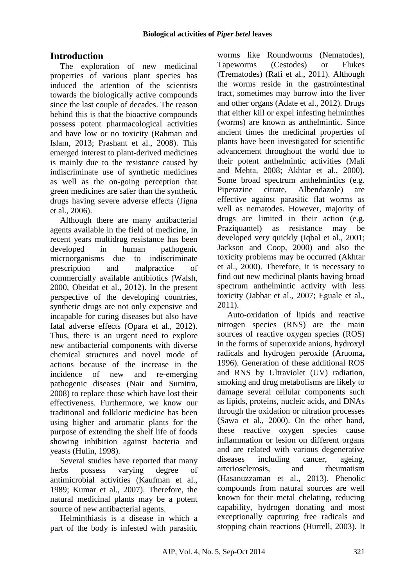# **Introduction**

The exploration of new medicinal properties of various plant species has induced the attention of the scientists towards the biologically active compounds since the last couple of decades. The reason behind this is that the bioactive compounds possess potent pharmacological activities and have low or no toxicity (Rahman and Islam, 2013; Prashant et al., 2008). This emerged interest to plant-derived medicines is mainly due to the resistance caused by indiscriminate use of synthetic medicines as well as the on-going perception that green medicines are safer than the synthetic drugs having severe adverse effects (Jigna et al., 2006).

Although there are many antibacterial agents available in the field of medicine, in recent years multidrug resistance has been developed in human pathogenic microorganisms due to indiscriminate prescription and malpractice of commercially available antibiotics (Walsh, 2000, Obeidat et al., 2012). In the present perspective of the developing countries, synthetic drugs are not only expensive and incapable for curing diseases but also have fatal adverse effects (Opara et al., 2012). Thus, there is an urgent need to explore new antibacterial components with diverse chemical structures and novel mode of actions because of the increase in the incidence of new and re-emerging pathogenic diseases (Nair and Sumitra, 2008) to replace those which have lost their effectiveness. Furthermore, we know our traditional and folkloric medicine has been using higher and aromatic plants for the purpose of extending the shelf life of foods showing inhibition against bacteria and yeasts (Hulin, 1998).

Several studies have reported that many herbs possess varying degree of antimicrobial activities (Kaufman et al., 1989; Kumar et al., 2007). Therefore, the natural medicinal plants may be a potent source of new antibacterial agents.

Helminthiasis is a disease in which a part of the body is infested with parasitic worms like Roundworms (Nematodes), Tapeworms (Cestodes) or Flukes (Trematodes) (Rafi et al., 2011). Although the worms reside in the gastrointestinal tract, sometimes may burrow into the liver and other organs (Adate et al., 2012). Drugs that either kill or expel infesting helminthes (worms) are known as anthelmintic. Since ancient times the medicinal properties of plants have been investigated for scientific advancement throughout the world due to their potent anthelmintic activities (Mali and Mehta, 2008; Akhtar et al., 2000). Some broad spectrum anthelmintics (e.g. Piperazine citrate, Albendazole) are effective against parasitic flat worms as well as nematodes. However, majority of drugs are limited in their action (e.g. Praziquantel) as resistance may be developed very quickly (Iqbal et al., 2001; Jackson and Coop, 2000) and also the toxicity problems may be occurred (Akhtar et al., 2000). Therefore, it is necessary to find out new medicinal plants having broad spectrum anthelmintic activity with less toxicity (Jabbar et al., 2007; Eguale et al., 2011).

Auto-oxidation of lipids and reactive nitrogen species (RNS) are the main sources of reactive oxygen species (ROS) in the forms of superoxide anions, hydroxyl radicals and hydrogen peroxide (Aruoma**,**  1996). Generation of these additional ROS and RNS by Ultraviolet (UV) radiation, smoking and drug metabolisms are likely to damage several cellular components such as lipids, proteins, nucleic acids, and DNAs through the oxidation or nitration processes (Sawa et al., 2000). On the other hand, these reactive oxygen species cause inflammation or lesion on different organs and are related with various degenerative diseases including cancer, ageing, arteriosclerosis, and rheumatism (Hasanuzzaman et al., 2013). Phenolic compounds from natural sources are well known for their metal chelating, reducing capability, hydrogen donating and most exceptionally capturing free radicals and stopping chain reactions (Hurrell, 2003). It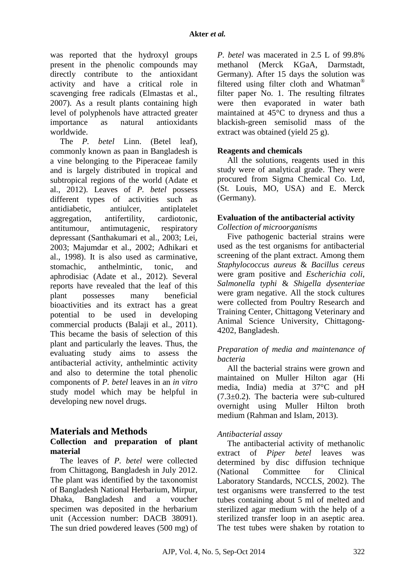was reported that the hydroxyl groups present in the phenolic compounds may directly contribute to the antioxidant activity and have a critical role in scavenging free radicals (Elmastas et al., 2007). As a result plants containing high level of polyphenols have attracted greater importance as natural antioxidants worldwide.

The *P. betel* Linn. (Betel leaf), commonly known as paan in Bangladesh is a vine belonging to the Piperaceae family and is largely distributed in tropical and subtropical regions of the world (Adate et al., 2012). Leaves of *P. betel* possess different types of activities such as antidiabetic, antiulcer, antiplatelet aggregation, antifertility, cardiotonic, antitumour, antimutagenic, respiratory depressant (Santhakumari et al., 2003; Lei, 2003; Majumdar et al., 2002; Adhikari et al., 1998). It is also used as carminative, stomachic anthelmintic tonic and aphrodisiac (Adate et al., 2012). Several reports have revealed that the leaf of this plant possesses many beneficial bioactivities and its extract has a great potential to be used in developing commercial products (Balaji et al., 2011). This became the basis of selection of this plant and particularly the leaves. Thus, the evaluating study aims to assess the antibacterial activity, anthelmintic activity and also to determine the total phenolic components of *P. betel* leaves in an *in vitro*  study model which may be helpful in developing new novel drugs.

# **Materials and Methods**

### **Collection and preparation of plant material**

The leaves of *P. betel* were collected from Chittagong, Bangladesh in July 2012. The plant was identified by the taxonomist of Bangladesh National Herbarium, Mirpur, Dhaka, Bangladesh and a voucher specimen was deposited in the herbarium unit (Accession number: DACB 38091). The sun dried powdered leaves (500 mg) of *P. betel* was macerated in 2.5 L of 99.8% methanol (Merck KGaA, Darmstadt, Germany). After 15 days the solution was filtered using filter cloth and Whatman® filter paper No. 1. The resulting filtrates were then evaporated in water bath maintained at 45°C to dryness and thus a blackish-green semisolid mass of the extract was obtained (yield 25 g).

### **Reagents and chemicals**

All the solutions, reagents used in this study were of analytical grade. They were procured from Sigma Chemical Co. Ltd, (St. Louis, MO, USA) and E. Merck (Germany).

### **Evaluation of the antibacterial activity**

*Collection of microorganisms*

Five pathogenic bacterial strains were used as the test organisms for antibacterial screening of the plant extract. Among them *Staphylococcus aureus* & *Bacillus cereus* were gram positive and *Escherichia coli*, *Salmonella typhi* & *Shigella dysenteriae* were gram negative. All the stock cultures were collected from Poultry Research and Training Center, Chittagong Veterinary and Animal Science University, Chittagong-4202, Bangladesh.

### *Preparation of media and maintenance of bacteria*

All the bacterial strains were grown and maintained on Muller Hilton agar (Hi media, India) media at 37°C and pH  $(7.3\pm0.2)$ . The bacteria were sub-cultured overnight using Muller Hilton broth medium (Rahman and Islam, 2013).

# *Antibacterial assay*

The antibacterial activity of methanolic extract of *Piper betel* leaves was determined by disc diffusion technique (National Committee for Clinical Laboratory Standards, NCCLS, 2002). The test organisms were transferred to the test tubes containing about 5 ml of melted and sterilized agar medium with the help of a sterilized transfer loop in an aseptic area. The test tubes were shaken by rotation to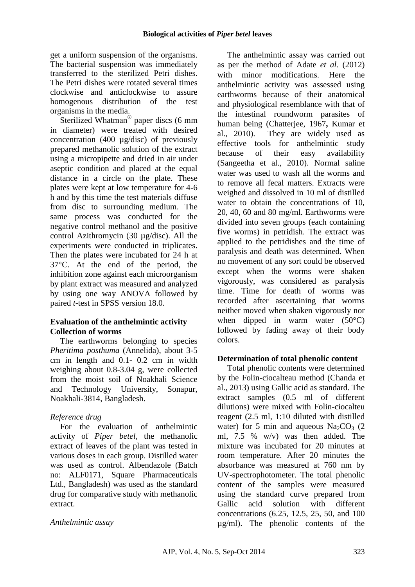get a uniform suspension of the organisms. The bacterial suspension was immediately transferred to the sterilized Petri dishes. The Petri dishes were rotated several times clockwise and anticlockwise to assure homogenous distribution of the test organisms in the media.

Sterilized Whatman<sup>®</sup> paper discs (6 mm in diameter) were treated with desired concentration (400 µg/disc) of previously prepared methanolic solution of the extract using a micropipette and dried in air under aseptic condition and placed at the equal distance in a circle on the plate. These plates were kept at low temperature for 4-6 h and by this time the test materials diffuse from disc to surrounding medium. The same process was conducted for the negative control methanol and the positive control Azithromycin (30 µg/disc). All the experiments were conducted in triplicates. Then the plates were incubated for 24 h at 37°C. At the end of the period, the inhibition zone against each microorganism by plant extract was measured and analyzed by using one way ANOVA followed by paired *t*-test in SPSS version 18.0.

# **Evaluation of the anthelmintic activity Collection of worms**

The earthworms belonging to species *Pheritima posthuma* (Annelida), about 3-5 cm in length and 0.1- 0.2 cm in width weighing about 0.8-3.04 g, were collected from the moist soil of Noakhali Science and Technology University, Sonapur, Noakhali-3814, Bangladesh.

# *Reference drug*

For the evaluation of anthelmintic activity of *Piper betel*, the methanolic extract of leaves of the plant was tested in various doses in each group. Distilled water was used as control. Albendazole (Batch no: ALF0171, Square Pharmaceuticals Ltd., Bangladesh) was used as the standard drug for comparative study with methanolic extract.

# *Anthelmintic assay*

The anthelmintic assay was carried out as per the method of Adate *et al*. (2012) with minor modifications. Here the anthelmintic activity was assessed using earthworms because of their anatomical and physiological resemblance with that of the intestinal roundworm parasites of human being (Chatterjee, 1967**,** Kumar et al., 2010). They are widely used as effective tools for anthelmintic study because of their easy availability (Sangeetha et al., 2010). Normal saline water was used to wash all the worms and to remove all fecal matters. Extracts were weighed and dissolved in 10 ml of distilled water to obtain the concentrations of 10, 20, 40, 60 and 80 mg/ml. Earthworms were divided into seven groups (each containing five worms) in petridish. The extract was applied to the petridishes and the time of paralysis and death was determined. When no movement of any sort could be observed except when the worms were shaken vigorously, was considered as paralysis time. Time for death of worms was recorded after ascertaining that worms neither moved when shaken vigorously nor when dipped in warm water (50°C) followed by fading away of their body colors.

# **Determination of total phenolic content**

Total phenolic contents were determined by the Folin-ciocalteau method (Chanda et al., 2013) using Gallic acid as standard. The extract samples (0.5 ml of different dilutions) were mixed with Folin-ciocalteu reagent (2.5 ml, 1:10 diluted with distilled water) for 5 min and aqueous  $Na<sub>2</sub>CO<sub>3</sub>$  (2) ml, 7.5 % w/v) was then added. The mixture was incubated for 20 minutes at room temperature. After 20 minutes the absorbance was measured at 760 nm by UV-spectrophotometer. The total phenolic content of the samples were measured using the standard curve prepared from Gallic acid solution with different concentrations (6.25, 12.5, 25, 50, and 100 µg/ml). The phenolic contents of the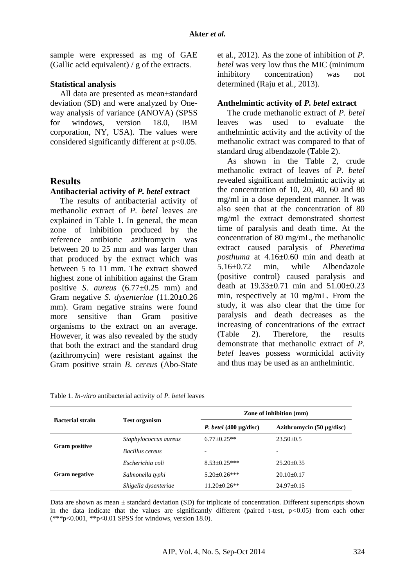sample were expressed as mg of GAE (Gallic acid equivalent) / g of the extracts.

### **Statistical analysis**

All data are presented as mean±standard deviation (SD) and were analyzed by Oneway analysis of variance (ANOVA) (SPSS for windows, version 18.0, IBM corporation, NY, USA). The values were considered significantly different at p<0.05.

### **Results**

### **Antibacterial activity of** *P. betel* **extract**

The results of antibacterial activity of methanolic extract of *P. betel* leaves are explained in Table 1. In general, the mean zone of inhibition produced by the reference antibiotic azithromycin was between 20 to 25 mm and was larger than that produced by the extract which was between 5 to 11 mm. The extract showed highest zone of inhibition against the Gram positive *S*. *aureus* (6.77±0.25 mm) and Gram negative *S. dysenteriae* (11.20±0.26 mm). Gram negative strains were found more sensitive than Gram positive organisms to the extract on an average. However, it was also revealed by the study that both the extract and the standard drug (azithromycin) were resistant against the Gram positive strain *B*. *cereus* (Abo-State et al., 2012). As the zone of inhibition of *P. betel* was very low thus the MIC (minimum inhibitory concentration) was not determined (Raju et al., 2013).

### **Anthelmintic activity of** *P. betel* **extract**

The crude methanolic extract of *P. betel* leaves was used to evaluate the anthelmintic activity and the activity of the methanolic extract was compared to that of standard drug albendazole (Table 2).

As shown in the Table 2, crude methanolic extract of leaves of *P. betel*  revealed significant anthelmintic activity at the concentration of 10, 20, 40, 60 and 80 mg/ml in a dose dependent manner. It was also seen that at the concentration of 80 mg/ml the extract demonstrated shortest time of paralysis and death time. At the concentration of 80 mg/mL, the methanolic extract caused paralysis of *Pheretima posthuma* at 4.16±0.60 min and death at 5.16±0.72 min, while Albendazole (positive control) caused paralysis and death at 19.33±0.71 min and 51.00±0.23 min, respectively at 10 mg/mL. From the study, it was also clear that the time for paralysis and death decreases as the increasing of concentrations of the extract (Table 2). Therefore, the results demonstrate that methanolic extract of *P. betel* leaves possess wormicidal activity and thus may be used as an anthelmintic.

| Table 1. <i>In-vitro</i> antibacterial activity of <i>P. betel</i> leaves |  |  |  |  |  |
|---------------------------------------------------------------------------|--|--|--|--|--|
|---------------------------------------------------------------------------|--|--|--|--|--|

|                         |                        | Zone of inhibition (mm)            |                                |  |  |
|-------------------------|------------------------|------------------------------------|--------------------------------|--|--|
| <b>Bacterial strain</b> | <b>Test organism</b>   | <i>P. betel</i> $(400 \mu g/disc)$ | Azithromycin $(50 \mu g/disc)$ |  |  |
| <b>Gram positive</b>    | Staphylococcus aureus  | $6.77 \pm 0.25$ **                 | $23.50+0.5$                    |  |  |
|                         | <b>Bacillus cereus</b> |                                    | $\overline{\phantom{0}}$       |  |  |
| <b>Gram negative</b>    | Escherichia coli       | $8.53 \pm 0.25***$                 | $25.20 + 0.35$                 |  |  |
|                         | Salmonella typhi       | $5.20 \pm 0.26$ ***                | $20.10+0.17$                   |  |  |
|                         | Shigella dysenteriae   | $11.20 \pm 0.26$ **                | $24.97 \pm 0.15$               |  |  |

Data are shown as mean  $\pm$  standard deviation (SD) for triplicate of concentration. Different superscripts shown in the data indicate that the values are significantly different (paired t-test,  $p < 0.05$ ) from each other  $(***p<0.001, **p<0.01$  SPSS for windows, version 18.0).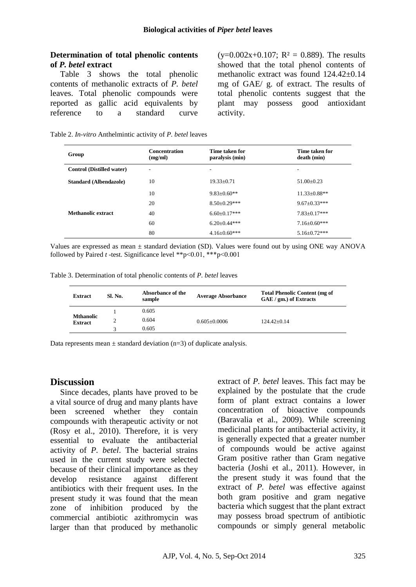### **Determination of total phenolic contents of** *P. betel* **extract**

Table 3 shows the total phenolic contents of methanolic extracts of *P. betel* leaves. Total phenolic compounds were reported as gallic acid equivalents by reference to a standard curve

 $(y=0.002x+0.107; R^2 = 0.889)$ . The results showed that the total phenol contents of methanolic extract was found 124.42±0.14 mg of GAE/ g. of extract. The results of total phenolic contents suggest that the plant may possess good antioxidant activity.

|  |  | Table 2. In-vitro Anthelmintic activity of P. betel leaves |  |  |
|--|--|------------------------------------------------------------|--|--|
|  |  |                                                            |  |  |

| Group                            | <b>Concentration</b><br>(mg/ml) | Time taken for<br>paralysis (min) | Time taken for<br>death (min) |
|----------------------------------|---------------------------------|-----------------------------------|-------------------------------|
| <b>Control (Distilled water)</b> | $\overline{\phantom{a}}$        | ۰                                 | -                             |
| <b>Standard (Albendazole)</b>    | 10                              | $19.33+0.71$                      | $51.00 + 0.23$                |
|                                  | 10                              | $9.83 \pm 0.60**$                 | $11.33 \pm 0.88**$            |
|                                  | 20                              | $8.50 \pm 0.29$ ***               | $9.67 \pm 0.33***$            |
| Methanolic extract               | 40                              | $6.60 \pm 0.17***$                | $7.83 \pm 0.17***$            |
|                                  | 60                              | $6.20 \pm 0.44$ ***               | $7.16 \pm 0.60$ ***           |
|                                  | 80                              | $4.16 \pm 0.60$ ***               | $5.16 \pm 0.72$ ***           |

Values are expressed as mean  $\pm$  standard deviation (SD). Values were found out by using ONE way ANOVA followed by Paired *t* -test. Significance level \*\*p˂0.01, \*\*\*p˂0.001

Table 3. Determination of total phenolic contents of *P. betel* leaves

| <b>Extract</b>                     | Sl. No. | Absorbance of the<br>sample | <b>Average Absorbance</b> | <b>Total Phenolic Content (mg of</b><br>GAE / gm.) of Extracts |
|------------------------------------|---------|-----------------------------|---------------------------|----------------------------------------------------------------|
|                                    |         | 0.605                       |                           |                                                                |
| <b>Mthanolic</b><br><b>Extract</b> |         | 0.604                       | $0.605 + 0.0006$          | $124.42+0.14$                                                  |
|                                    |         | 0.605                       |                           |                                                                |

Data represents mean  $\pm$  standard deviation (n=3) of duplicate analysis.

# **Discussion**

Since decades, plants have proved to be a vital source of drug and many plants have been screened whether they contain compounds with therapeutic activity or not (Rosy et al., 2010). Therefore, it is very essential to evaluate the antibacterial activity of *P. betel*. The bacterial strains used in the current study were selected because of their clinical importance as they develop resistance against different antibiotics with their frequent uses. In the present study it was found that the mean zone of inhibition produced by the commercial antibiotic azithromycin was larger than that produced by methanolic extract of *P. betel* leaves. This fact may be explained by the postulate that the crude form of plant extract contains a lower concentration of bioactive compounds (Baravalia et al., 2009). While screening medicinal plants for antibacterial activity, it is generally expected that a greater number of compounds would be active against Gram positive rather than Gram negative bacteria (Joshi et al., 2011). However, in the present study it was found that the extract of *P. betel* was effective against both gram positive and gram negative bacteria which suggest that the plant extract may possess broad spectrum of antibiotic compounds or simply general metabolic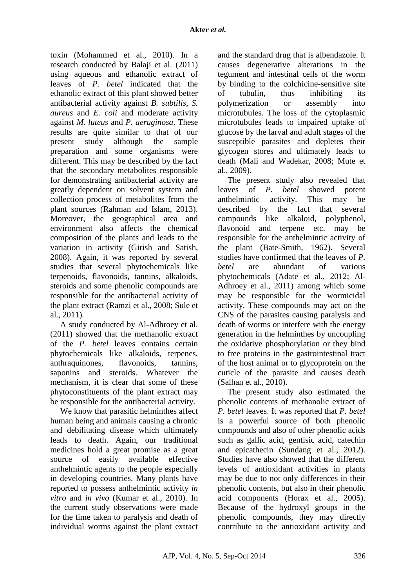toxin (Mohammed et al., 2010). In a research conducted by Balaji et al. (2011) using aqueous and ethanolic extract of leaves of *P. betel* indicated that the ethanolic extract of this plant showed better antibacterial activity against *B. subtilis, S. aureus* and *E. coli* and moderate activity against *M. luteus* and *P. aeruginosa*. These results are quite similar to that of our present study although the sample preparation and some organisms were different. This may be described by the fact that the secondary metabolites responsible for demonstrating antibacterial activity are greatly dependent on solvent system and collection process of metabolites from the plant sources (Rahman and Islam, 2013). Moreover, the geographical area and environment also affects the chemical composition of the plants and leads to the variation in activity (Girish and Satish, 2008). Again, it was reported by several studies that several phytochemicals like terpenoids, flavonoids, tannins, alkaloids, steroids and some phenolic compounds are responsible for the antibacterial activity of the plant extract (Ramzi et al., 2008; Sule et al., 2011).

A study conducted by Al-Adhroey et al. (2011) showed that the methanolic extract of the *P. betel* leaves contains certain phytochemicals like alkaloids, terpenes, anthraquinones, flavonoids, tannins, saponins and steroids. Whatever the mechanism, it is clear that some of these phytoconstituents of the plant extract may be responsible for the antibacterial activity.

We know that parasitic helminthes affect human being and animals causing a chronic and debilitating disease which ultimately leads to death. Again, our traditional medicines hold a great promise as a great source of easily available effective anthelmintic agents to the people especially in developing countries. Many plants have reported to possess anthelmintic activity *in vitro* and *in vivo* (Kumar et al., 2010). In the current study observations were made for the time taken to paralysis and death of individual worms against the plant extract and the standard drug that is albendazole. It causes degenerative alterations in the tegument and intestinal cells of the worm by binding to the colchicine-sensitive site of tubulin, thus inhibiting its polymerization or assembly into microtubules. The loss of the cytoplasmic microtubules leads to impaired uptake of glucose by the larval and adult stages of the susceptible parasites and depletes their glycogen stores and ultimately leads to death (Mali and Wadekar, 2008; Mute et al., 2009).

The present study also revealed that leaves of *P. betel* showed potent anthelmintic activity. This may be described by the fact that several compounds like alkaloid, polyphenol, flavonoid and terpene etc. may be responsible for the anthelmintic activity of the plant (Bate-Smith, 1962). Several studies have confirmed that the leaves of *P. betel* are abundant of various phytochemicals (Adate et al., 2012; Al-Adhroey et al., 2011) among which some may be responsible for the wormicidal activity. These compounds may act on the CNS of the parasites causing paralysis and death of worms or interfere with the energy generation in the helminthes by uncoupling the oxidative phosphorylation or they bind to free proteins in the gastrointestinal tract of the host animal or to glycoprotein on the cuticle of the parasite and causes death (Salhan et al., 2010).

The present study also estimated the phenolic contents of methanolic extract of *P. betel* leaves. It was reported that *P. betel*  is a powerful source of both phenolic compounds and also of other phenolic acids such as gallic acid, gentisic acid, catechin and epicathecin (Sundang et al., 2012). Studies have also showed that the different levels of antioxidant activities in plants may be due to not only differences in their phenolic contents, but also in their phenolic acid components (Horax et al., 2005). Because of the hydroxyl groups in the phenolic compounds, they may directly contribute to the antioxidant activity and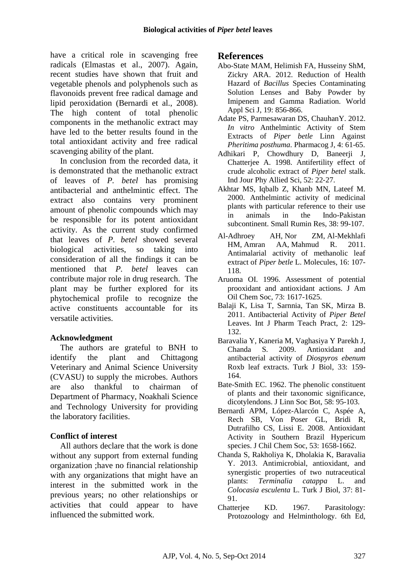have a critical role in scavenging free radicals (Elmastas et al., 2007). Again, recent studies have shown that fruit and vegetable phenols and polyphenols such as flavonoids prevent free radical damage and lipid peroxidation (Bernardi et al., 2008). The high content of total phenolic components in the methanolic extract may have led to the better results found in the total antioxidant activity and free radical scavenging ability of the plant.

In conclusion from the recorded data, it is demonstrated that the methanolic extract of leaves of *P. betel* has promising antibacterial and anthelmintic effect. The extract also contains very prominent amount of phenolic compounds which may be responsible for its potent antioxidant activity. As the current study confirmed that leaves of *P. betel* showed several biological activities, so taking into consideration of all the findings it can be mentioned that *P. betel* leaves can contribute major role in drug research. The plant may be further explored for its phytochemical profile to recognize the active constituents accountable for its versatile activities.

# **Acknowledgment**

The authors are grateful to BNH to identify the plant and Chittagong Veterinary and Animal Science University (CVASU) to supply the microbes. Authors are also thankful to chairman of Department of Pharmacy, Noakhali Science and Technology University for providing the laboratory facilities.

# **Conflict of interest**

All authors declare that the work is done without any support from external funding organization ;have no financial relationship with any organizations that might have an interest in the submitted work in the previous years; no other relationships or activities that could appear to have influenced the submitted work.

### **References**

- Abo-State MAM, Helimish FA, Husseiny ShM, Zickry ARA. 2012. Reduction of Health Hazard of *Bacillus* Species Contaminating Solution Lenses and Baby Powder by Imipenem and Gamma Radiation. World Appl Sci J, 19: 856-866.
- Adate PS, Parmesawaran DS, ChauhanY. 2012. *In vitro* Anthelmintic Activity of Stem Extracts of *Piper betle* Linn Against *Pheritima posthuma*. Pharmacog J, 4: 61-65.
- Adhikari P, Chowdhury D, Baneerji J, Chatterjee A. 1998. Antifertility effect of crude alcoholic extract of *Piper betel* stalk. Ind Jour Phy Allied Sci, 52: 22‐27.
- Akhtar MS, Iqbalb Z, Khanb MN, Lateef M. 2000. Anthelmintic activity of medicinal plants with particular reference to their use in animals in the Indo-Pakistan subcontinent. Small Rumin Res, 38: 99-107.
- Al-Adhroey AH, Nor ZM, Al-Mekhlafi HM, Amran AA, Mahmud R. 2011. Antimalarial activity of methanolic leaf extract of *Piper betle* L. Molecules, 16: 107- 118.
- Aruoma OI. 1996. Assessment of potential prooxidant and antioxidant actions. J Am Oil Chem Soc, 73: 1617-1625.
- Balaji K, Lisa T, Sarnnia, Tan SK, Mirza B. 2011. Antibacterial Activity of *Piper Betel*  Leaves. Int J Pharm Teach Pract, 2: 129- 132.
- Baravalia Y, Kaneria M, Vaghasiya Y Parekh J, Chanda S. 2009. Antioxidant and antibacterial activity of *Diospyros ebenum*  Roxb leaf extracts. Turk J Biol, 33: 159- 164.
- Bate-Smith EC. 1962. The phenolic constituent of plants and their taxonomic significance, dicotylendons. J Linn Soc Bot, 58: 95-103.
- Bernardi APM, López-Alarcón C, Aspée A, Rech SB, Von Poser GL, Bridi R, Dutrafilho CS, Lissi E. 2008. Antioxidant Activity in Southern Brazil Hypericum species. J Chil Chem Soc, 53: 1658-1662.
- Chanda S, Rakholiya K, Dholakia K, Baravalia Y. 2013. Antimicrobial, antioxidant, and synergistic properties of two nutraceutical plants: *Terminalia catappa* L. and *Colocasia esculenta* L. Turk J Biol, 37: 81- 91.
- Chatterjee KD. 1967. Parasitology: Protozoology and Helminthology. 6th Ed,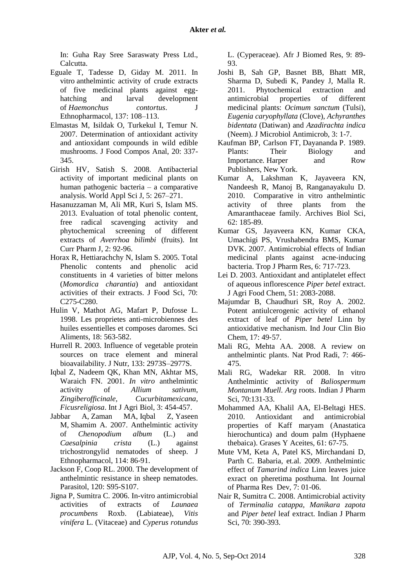In: Guha Ray Sree Saraswaty Press Ltd., Calcutta.

- Eguale T, Tadesse D, Giday M. 2011. In vitro anthelmintic activity of crude extracts of five medicinal plants against egghatching and larval development of *Haemonchus contortus*. J Ethnopharmacol, 137: 108–113.
- Elmastas M, Isildak O, Turkekul I, Temur N. 2007. Determination of antioxidant activity and antioxidant compounds in wild edible mushrooms. J Food Compos Anal, 20: 337- 345.
- Girish HV, Satish S. 2008. Antibacterial activity of important medicinal plants on human pathogenic bacteria – a comparative analysis. World Appl Sci J, 5: 267–271.
- Hasanuzzaman M, Ali MR, Kuri S, Islam MS. 2013. Evaluation of total phenolic content, free radical scavenging activity and phytochemical screening of different extracts of *Averrhoa bilimbi* (fruits). Int Curr Pharm J, 2: 92-96.
- Horax R, Hettiarachchy N, Islam S. 2005. Total Phenolic contents and phenolic acid constituents in 4 varieties of bitter melons (*Momordica charantia*) and antioxidant activities of their extracts. J Food Sci, 70: C275-C280.
- Hulin V, Mathot AG, Mafart P, Dufosse L. 1998. Les proprietes anti-microbiennes des huiles essentielles et composes daromes. Sci Aliments, 18: 563-582.
- Hurrell R. 2003. Influence of vegetable protein sources on trace element and mineral bioavailability. J Nutr, 133: 2973S–2977S.
- Iqbal Z, Nadeem QK, Khan MN, Akhtar MS, Waraich FN. 2001. *In vitro* anthelmintic activity of *Allium sativum, Zingiberofficinale, Cucurbitamexicana, Ficusreligiosa*. Int J Agri Biol, 3: 454-457.
- Jabbar A, Zaman MA, Iqbal Z, Yaseen M, Shamim A. 2007. Anthelmintic activity of *Chenopodium album* (L.) and *Caesalpinia crista* (L.) against trichostrongylid nematodes of sheep. J Ethnopharmacol, 114: 86-91.
- Jackson F, Coop RL. 2000. The development of anthelmintic resistance in sheep nematodes. Parasitol, 120: S95-S107.
- Jigna P, Sumitra C. 2006. In-vitro antimicrobial activities of extracts of *Launaea procumbens* Roxb. (Labiateae), *Vitis vinifera* L. (Vitaceae) and *Cyperus rotundus*

L. (Cyperaceae). Afr J Biomed Res, 9: 89- 93.

- Joshi B, Sah GP, Basnet BB, Bhatt MR, Sharma D, Subedi K, Pandey J, Malla R. 2011. Phytochemical extraction and antimicrobial properties of different medicinal plants: *Ocimum sanctum* (Tulsi), *Eugenia caryophyllata* (Clove), *Achyranthes bidentata* (Datiwan) and *Azadirachta indica* (Neem). J Microbiol Antimicrob, 3: 1-7.
- Kaufman BP, Carlson FT, Dayananda P. 1989. Plants: Their Biology and Importance, Harper and Row Publishers, New York.
- Kumar A, Lakshman K, Jayaveera KN, Nandeesh R, Manoj B, Ranganayakulu D. 2010. Comparative in vitro anthelmintic activity of three plants from the Amaranthaceae family. Archives Biol Sci, 62: 185-89.
- Kumar GS, Jayaveera KN, Kumar CKA, Umachigi PS, Vrushabendra BMS, Kumar DVK. 2007. Antimicrobial effects of Indian medicinal plants against acne-inducing bacteria. Trop J Pharm Res, 6: 717-723.
- Lei D. 2003. Antioxidant and antiplatelet effect of aqueous inflorescence *Piper betel* extract. J Agri Food Chem, 51: 2083‐2088.
- Majumdar B, Chaudhuri SR, Roy A. 2002. Potent antiulcerogenic activity of ethanol extract of leaf of *Piper betel* Linn by antioxidative mechanism. Ind Jour Clin Bio Chem, 17: 49‐57.
- Mali RG, Mehta AA. 2008. A review on anthelmintic plants. Nat Prod Radi, 7: 466- 475.
- Mali RG, Wadekar RR. 2008. In vitro Anthelmintic activity of *Baliospermum Montanum Muell. Arg* roots. Indian J Pharm Sci, 70:131-33.
- Mohammed AA, Khalil AA, El-Beltagi HES. 2010. Antioxidant and antimicrobial properties of Kaff maryam (Anastatica hierochuntica) and doum palm (Hyphaene thebaica). Grases Y Aceites, 61: 67-75.
- Mute VM, Keta A, Patel KS, Mirchandani D, Parth C. Babaria, et.al. 2009. Anthelmintic effect of *Tamarind indica* Linn leaves juice exract on pheretima posthuma. Int Journal of Pharma Res Dev, 7: 01-06.
- Nair R, Sumitra C. 2008. Antimicrobial activity of *Terminalia catappa, Manikara zapota* and *Piper betel* leaf extract. Indian J Pharm Sci, 70: 390-393.